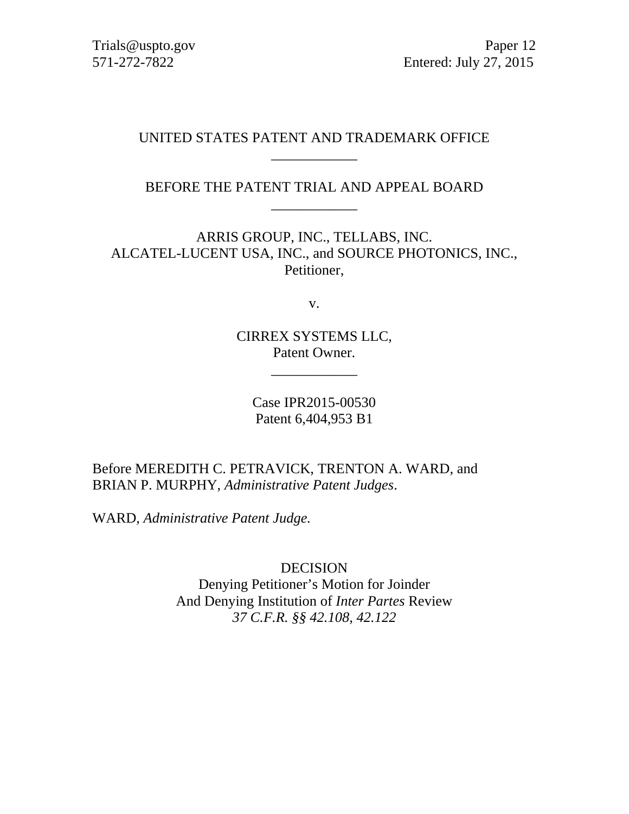# UNITED STATES PATENT AND TRADEMARK OFFICE \_\_\_\_\_\_\_\_\_\_\_\_

BEFORE THE PATENT TRIAL AND APPEAL BOARD \_\_\_\_\_\_\_\_\_\_\_\_

ARRIS GROUP, INC., TELLABS, INC. ALCATEL-LUCENT USA, INC., and SOURCE PHOTONICS, INC., Petitioner,

v.

CIRREX SYSTEMS LLC, Patent Owner.

\_\_\_\_\_\_\_\_\_\_\_\_

Case IPR2015-00530 Patent 6,404,953 B1

Before MEREDITH C. PETRAVICK, TRENTON A. WARD, and BRIAN P. MURPHY, *Administrative Patent Judges*.

WARD, *Administrative Patent Judge.* 

DECISION Denying Petitioner's Motion for Joinder And Denying Institution of *Inter Partes* Review *37 C.F.R. §§ 42.108, 42.122*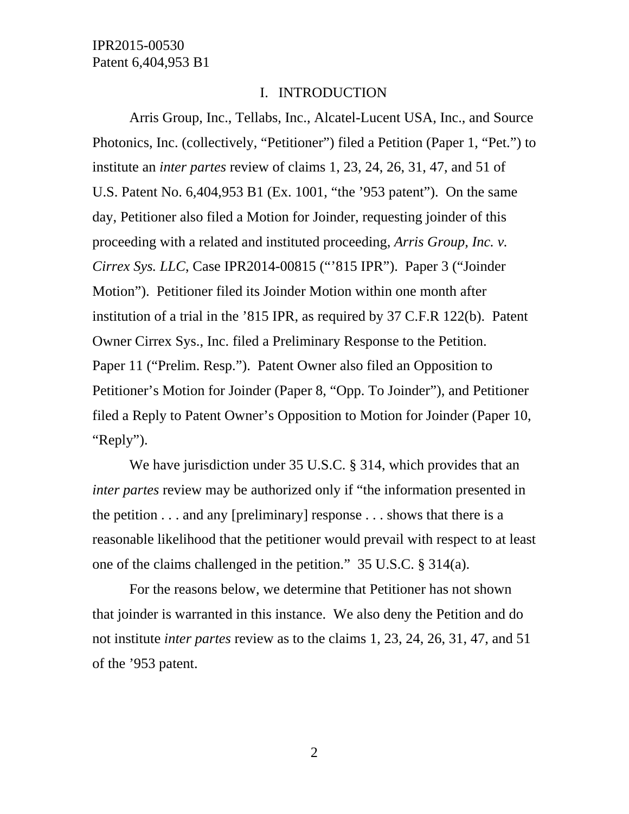#### I. INTRODUCTION

Arris Group, Inc., Tellabs, Inc., Alcatel-Lucent USA, Inc., and Source Photonics, Inc. (collectively, "Petitioner") filed a Petition (Paper 1, "Pet.") to institute an *inter partes* review of claims 1, 23, 24, 26, 31, 47, and 51 of U.S. Patent No. 6,404,953 B1 (Ex. 1001, "the '953 patent"). On the same day, Petitioner also filed a Motion for Joinder, requesting joinder of this proceeding with a related and instituted proceeding, *Arris Group, Inc. v. Cirrex Sys. LLC*, Case IPR2014-00815 ("'815 IPR"). Paper 3 ("Joinder Motion"). Petitioner filed its Joinder Motion within one month after institution of a trial in the '815 IPR, as required by 37 C.F.R 122(b). Patent Owner Cirrex Sys., Inc. filed a Preliminary Response to the Petition. Paper 11 ("Prelim. Resp."). Patent Owner also filed an Opposition to Petitioner's Motion for Joinder (Paper 8, "Opp. To Joinder"), and Petitioner filed a Reply to Patent Owner's Opposition to Motion for Joinder (Paper 10, "Reply").

We have jurisdiction under 35 U.S.C. § 314, which provides that an *inter partes* review may be authorized only if "the information presented in the petition  $\dots$  and any [preliminary] response  $\dots$  shows that there is a reasonable likelihood that the petitioner would prevail with respect to at least one of the claims challenged in the petition." 35 U.S.C. § 314(a).

For the reasons below, we determine that Petitioner has not shown that joinder is warranted in this instance. We also deny the Petition and do not institute *inter partes* review as to the claims 1, 23, 24, 26, 31, 47, and 51 of the '953 patent.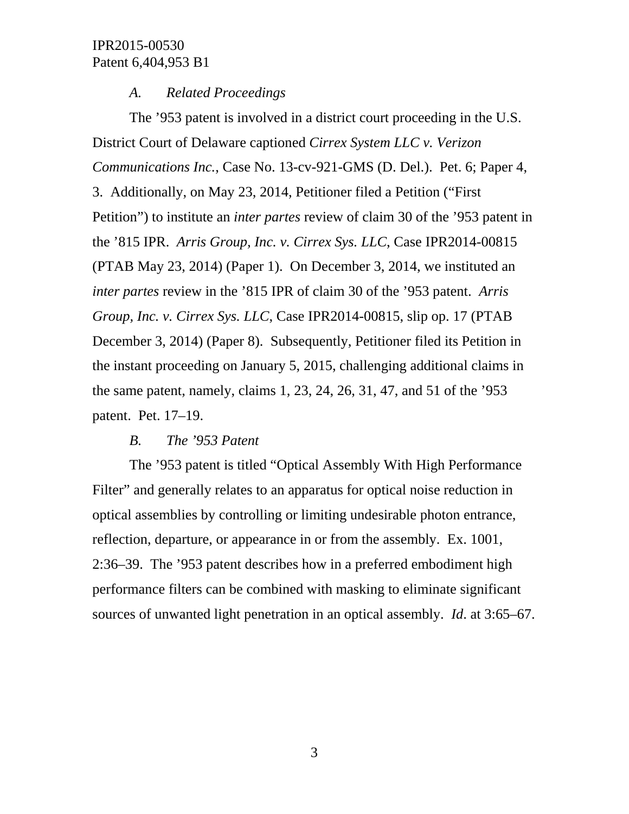## *A. Related Proceedings*

The '953 patent is involved in a district court proceeding in the U.S. District Court of Delaware captioned *Cirrex System LLC v. Verizon Communications Inc.*, Case No. 13-cv-921-GMS (D. Del.). Pet. 6; Paper 4, 3. Additionally, on May 23, 2014, Petitioner filed a Petition ("First Petition") to institute an *inter partes* review of claim 30 of the '953 patent in the '815 IPR. *Arris Group, Inc. v. Cirrex Sys. LLC*, Case IPR2014-00815 (PTAB May 23, 2014) (Paper 1). On December 3, 2014, we instituted an *inter partes* review in the '815 IPR of claim 30 of the '953 patent. *Arris Group, Inc. v. Cirrex Sys. LLC*, Case IPR2014-00815, slip op. 17 (PTAB December 3, 2014) (Paper 8). Subsequently, Petitioner filed its Petition in the instant proceeding on January 5, 2015, challenging additional claims in the same patent, namely, claims 1, 23, 24, 26, 31, 47, and 51 of the '953 patent. Pet. 17–19.

## *B. The '953 Patent*

The '953 patent is titled "Optical Assembly With High Performance Filter" and generally relates to an apparatus for optical noise reduction in optical assemblies by controlling or limiting undesirable photon entrance, reflection, departure, or appearance in or from the assembly. Ex. 1001, 2:36–39. The '953 patent describes how in a preferred embodiment high performance filters can be combined with masking to eliminate significant sources of unwanted light penetration in an optical assembly. *Id*. at 3:65–67.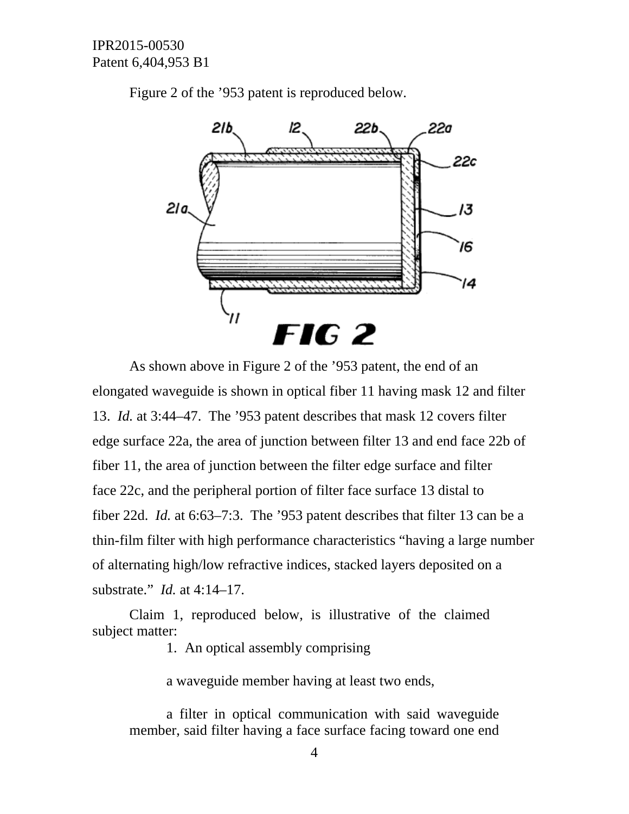

Figure 2 of the '953 patent is reproduced below.

As shown above in Figure 2 of the '953 patent, the end of an elongated waveguide is shown in optical fiber 11 having mask 12 and filter 13. *Id.* at 3:44–47. The '953 patent describes that mask 12 covers filter edge surface 22a, the area of junction between filter 13 and end face 22b of fiber 11, the area of junction between the filter edge surface and filter face 22c, and the peripheral portion of filter face surface 13 distal to fiber 22d. *Id.* at 6:63–7:3. The '953 patent describes that filter 13 can be a thin-film filter with high performance characteristics "having a large number of alternating high/low refractive indices, stacked layers deposited on a substrate." *Id.* at 4:14–17.

Claim 1, reproduced below, is illustrative of the claimed subject matter:

1. An optical assembly comprising

a waveguide member having at least two ends,

a filter in optical communication with said waveguide member, said filter having a face surface facing toward one end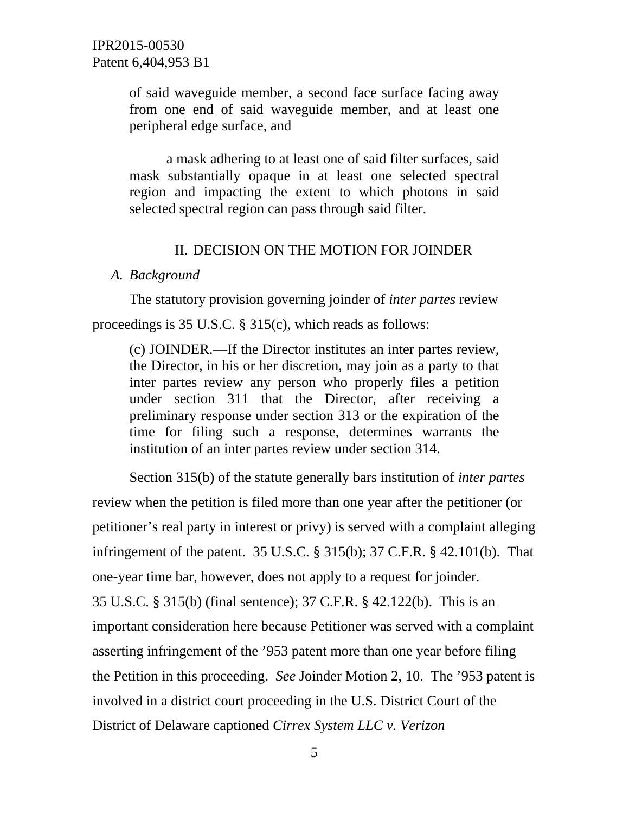of said waveguide member, a second face surface facing away from one end of said waveguide member, and at least one peripheral edge surface, and

a mask adhering to at least one of said filter surfaces, said mask substantially opaque in at least one selected spectral region and impacting the extent to which photons in said selected spectral region can pass through said filter.

## II. DECISION ON THE MOTION FOR JOINDER

### *A. Background*

The statutory provision governing joinder of *inter partes* review proceedings is 35 U.S.C. § 315(c), which reads as follows:

(c) JOINDER.—If the Director institutes an inter partes review, the Director, in his or her discretion, may join as a party to that inter partes review any person who properly files a petition under section 311 that the Director, after receiving a preliminary response under section 313 or the expiration of the time for filing such a response, determines warrants the institution of an inter partes review under section 314.

Section 315(b) of the statute generally bars institution of *inter partes* review when the petition is filed more than one year after the petitioner (or petitioner's real party in interest or privy) is served with a complaint alleging infringement of the patent. 35 U.S.C. § 315(b); 37 C.F.R. § 42.101(b). That one-year time bar, however, does not apply to a request for joinder. 35 U.S.C. § 315(b) (final sentence); 37 C.F.R. § 42.122(b). This is an important consideration here because Petitioner was served with a complaint asserting infringement of the '953 patent more than one year before filing the Petition in this proceeding. *See* Joinder Motion 2, 10. The '953 patent is involved in a district court proceeding in the U.S. District Court of the District of Delaware captioned *Cirrex System LLC v. Verizon*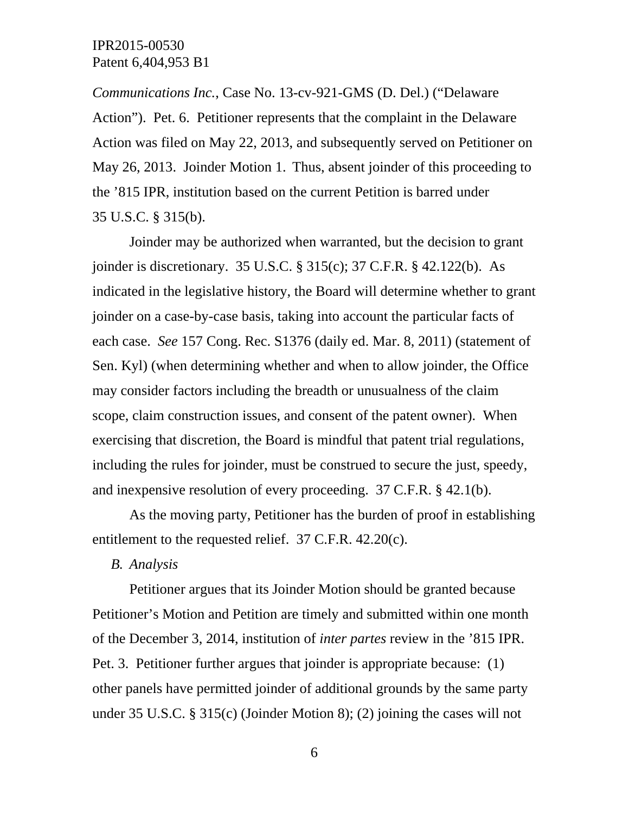*Communications Inc.*, Case No. 13-cv-921-GMS (D. Del.) ("Delaware Action"). Pet. 6. Petitioner represents that the complaint in the Delaware Action was filed on May 22, 2013, and subsequently served on Petitioner on May 26, 2013. Joinder Motion 1. Thus, absent joinder of this proceeding to the '815 IPR, institution based on the current Petition is barred under 35 U.S.C. § 315(b).

Joinder may be authorized when warranted, but the decision to grant joinder is discretionary. 35 U.S.C. § 315(c); 37 C.F.R. § 42.122(b). As indicated in the legislative history, the Board will determine whether to grant joinder on a case-by-case basis, taking into account the particular facts of each case. *See* 157 Cong. Rec. S1376 (daily ed. Mar. 8, 2011) (statement of Sen. Kyl) (when determining whether and when to allow joinder, the Office may consider factors including the breadth or unusualness of the claim scope, claim construction issues, and consent of the patent owner). When exercising that discretion, the Board is mindful that patent trial regulations, including the rules for joinder, must be construed to secure the just, speedy, and inexpensive resolution of every proceeding. 37 C.F.R. § 42.1(b).

As the moving party, Petitioner has the burden of proof in establishing entitlement to the requested relief. 37 C.F.R. 42.20(c).

*B. Analysis* 

Petitioner argues that its Joinder Motion should be granted because Petitioner's Motion and Petition are timely and submitted within one month of the December 3, 2014, institution of *inter partes* review in the '815 IPR. Pet. 3. Petitioner further argues that joinder is appropriate because: (1) other panels have permitted joinder of additional grounds by the same party under 35 U.S.C. § 315(c) (Joinder Motion 8); (2) joining the cases will not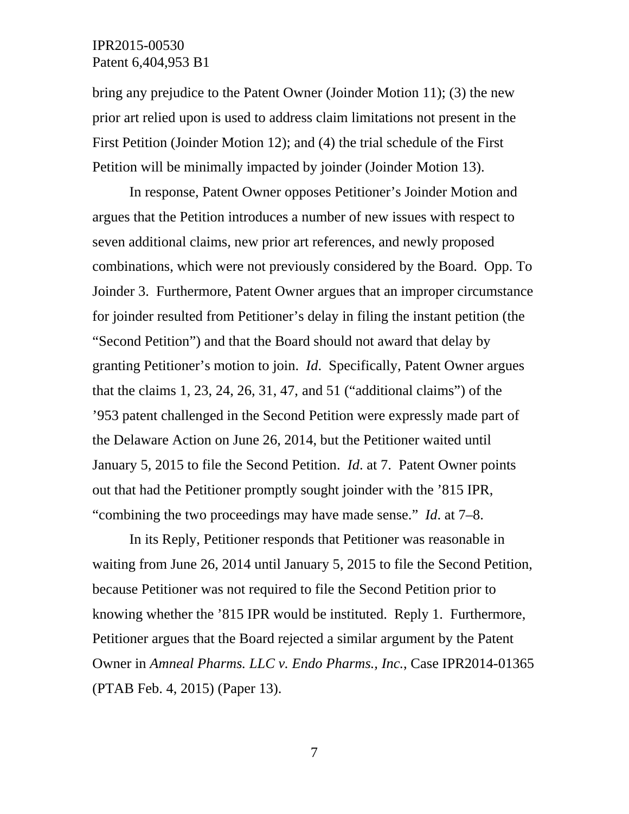bring any prejudice to the Patent Owner (Joinder Motion 11); (3) the new prior art relied upon is used to address claim limitations not present in the First Petition (Joinder Motion 12); and (4) the trial schedule of the First Petition will be minimally impacted by joinder (Joinder Motion 13).

In response, Patent Owner opposes Petitioner's Joinder Motion and argues that the Petition introduces a number of new issues with respect to seven additional claims, new prior art references, and newly proposed combinations, which were not previously considered by the Board. Opp. To Joinder 3. Furthermore, Patent Owner argues that an improper circumstance for joinder resulted from Petitioner's delay in filing the instant petition (the "Second Petition") and that the Board should not award that delay by granting Petitioner's motion to join. *Id*. Specifically, Patent Owner argues that the claims 1, 23, 24, 26, 31, 47, and 51 ("additional claims") of the '953 patent challenged in the Second Petition were expressly made part of the Delaware Action on June 26, 2014, but the Petitioner waited until January 5, 2015 to file the Second Petition. *Id*. at 7. Patent Owner points out that had the Petitioner promptly sought joinder with the '815 IPR, "combining the two proceedings may have made sense." *Id*. at 7–8.

In its Reply, Petitioner responds that Petitioner was reasonable in waiting from June 26, 2014 until January 5, 2015 to file the Second Petition, because Petitioner was not required to file the Second Petition prior to knowing whether the '815 IPR would be instituted. Reply 1. Furthermore, Petitioner argues that the Board rejected a similar argument by the Patent Owner in *Amneal Pharms. LLC v. Endo Pharms., Inc.*, Case IPR2014-01365 (PTAB Feb. 4, 2015) (Paper 13).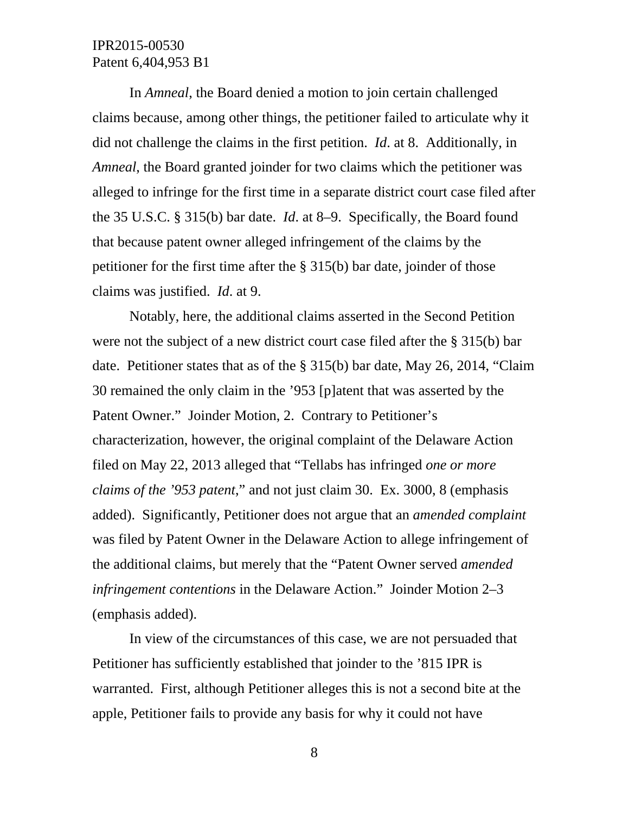In *Amneal*, the Board denied a motion to join certain challenged claims because, among other things, the petitioner failed to articulate why it did not challenge the claims in the first petition. *Id*. at 8. Additionally, in *Amneal*, the Board granted joinder for two claims which the petitioner was alleged to infringe for the first time in a separate district court case filed after the 35 U.S.C. § 315(b) bar date. *Id*. at 8–9. Specifically, the Board found that because patent owner alleged infringement of the claims by the petitioner for the first time after the § 315(b) bar date, joinder of those claims was justified. *Id*. at 9.

Notably, here, the additional claims asserted in the Second Petition were not the subject of a new district court case filed after the § 315(b) bar date. Petitioner states that as of the § 315(b) bar date, May 26, 2014, "Claim 30 remained the only claim in the '953 [p]atent that was asserted by the Patent Owner." Joinder Motion, 2. Contrary to Petitioner's characterization, however, the original complaint of the Delaware Action filed on May 22, 2013 alleged that "Tellabs has infringed *one or more claims of the '953 patent*," and not just claim 30. Ex. 3000, 8 (emphasis added). Significantly, Petitioner does not argue that an *amended complaint* was filed by Patent Owner in the Delaware Action to allege infringement of the additional claims, but merely that the "Patent Owner served *amended infringement contentions* in the Delaware Action." Joinder Motion 2–3 (emphasis added).

In view of the circumstances of this case, we are not persuaded that Petitioner has sufficiently established that joinder to the '815 IPR is warranted. First, although Petitioner alleges this is not a second bite at the apple, Petitioner fails to provide any basis for why it could not have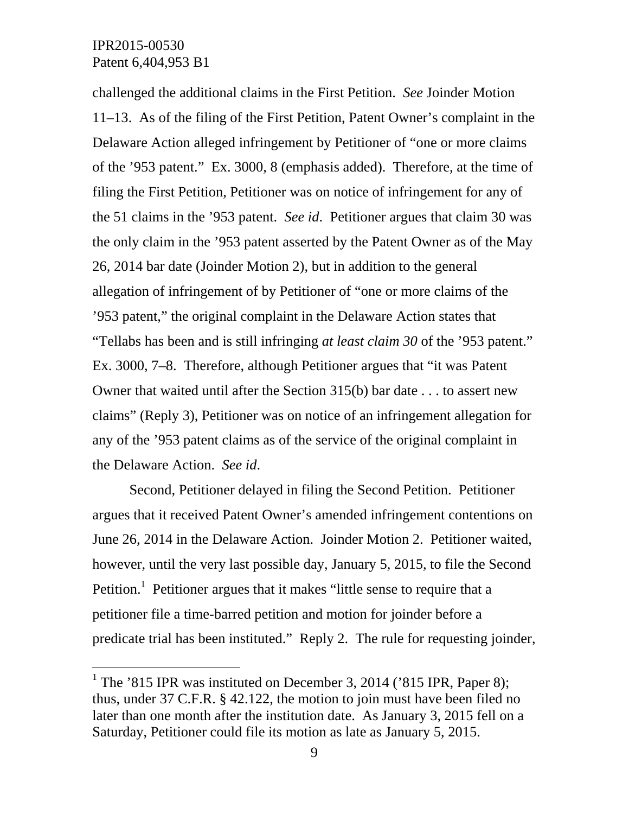-

challenged the additional claims in the First Petition. *See* Joinder Motion 11–13. As of the filing of the First Petition, Patent Owner's complaint in the Delaware Action alleged infringement by Petitioner of "one or more claims of the '953 patent." Ex. 3000, 8 (emphasis added). Therefore, at the time of filing the First Petition, Petitioner was on notice of infringement for any of the 51 claims in the '953 patent. *See id*. Petitioner argues that claim 30 was the only claim in the '953 patent asserted by the Patent Owner as of the May 26, 2014 bar date (Joinder Motion 2), but in addition to the general allegation of infringement of by Petitioner of "one or more claims of the '953 patent," the original complaint in the Delaware Action states that "Tellabs has been and is still infringing *at least claim 30* of the '953 patent." Ex. 3000, 7–8. Therefore, although Petitioner argues that "it was Patent Owner that waited until after the Section 315(b) bar date . . . to assert new claims" (Reply 3), Petitioner was on notice of an infringement allegation for any of the '953 patent claims as of the service of the original complaint in the Delaware Action. *See id*.

Second, Petitioner delayed in filing the Second Petition. Petitioner argues that it received Patent Owner's amended infringement contentions on June 26, 2014 in the Delaware Action. Joinder Motion 2. Petitioner waited, however, until the very last possible day, January 5, 2015, to file the Second Petition.<sup>1</sup> Petitioner argues that it makes "little sense to require that a petitioner file a time-barred petition and motion for joinder before a predicate trial has been instituted." Reply 2. The rule for requesting joinder,

<sup>&</sup>lt;sup>1</sup> The '815 IPR was instituted on December 3, 2014 ('815 IPR, Paper 8); thus, under 37 C.F.R. § 42.122, the motion to join must have been filed no later than one month after the institution date. As January 3, 2015 fell on a Saturday, Petitioner could file its motion as late as January 5, 2015.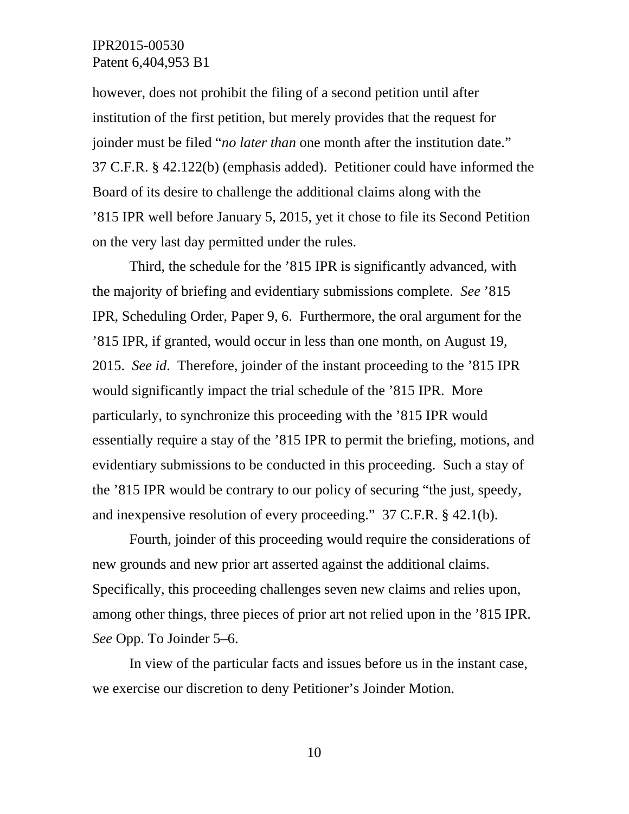however, does not prohibit the filing of a second petition until after institution of the first petition, but merely provides that the request for joinder must be filed "*no later than* one month after the institution date." 37 C.F.R. § 42.122(b) (emphasis added). Petitioner could have informed the Board of its desire to challenge the additional claims along with the '815 IPR well before January 5, 2015, yet it chose to file its Second Petition on the very last day permitted under the rules.

Third, the schedule for the '815 IPR is significantly advanced, with the majority of briefing and evidentiary submissions complete. *See* '815 IPR, Scheduling Order, Paper 9, 6. Furthermore, the oral argument for the '815 IPR, if granted, would occur in less than one month, on August 19, 2015. *See id*. Therefore, joinder of the instant proceeding to the '815 IPR would significantly impact the trial schedule of the '815 IPR. More particularly, to synchronize this proceeding with the '815 IPR would essentially require a stay of the '815 IPR to permit the briefing, motions, and evidentiary submissions to be conducted in this proceeding. Such a stay of the '815 IPR would be contrary to our policy of securing "the just, speedy, and inexpensive resolution of every proceeding." 37 C.F.R. § 42.1(b).

Fourth, joinder of this proceeding would require the considerations of new grounds and new prior art asserted against the additional claims. Specifically, this proceeding challenges seven new claims and relies upon, among other things, three pieces of prior art not relied upon in the '815 IPR. *See* Opp. To Joinder 5–6.

In view of the particular facts and issues before us in the instant case, we exercise our discretion to deny Petitioner's Joinder Motion.